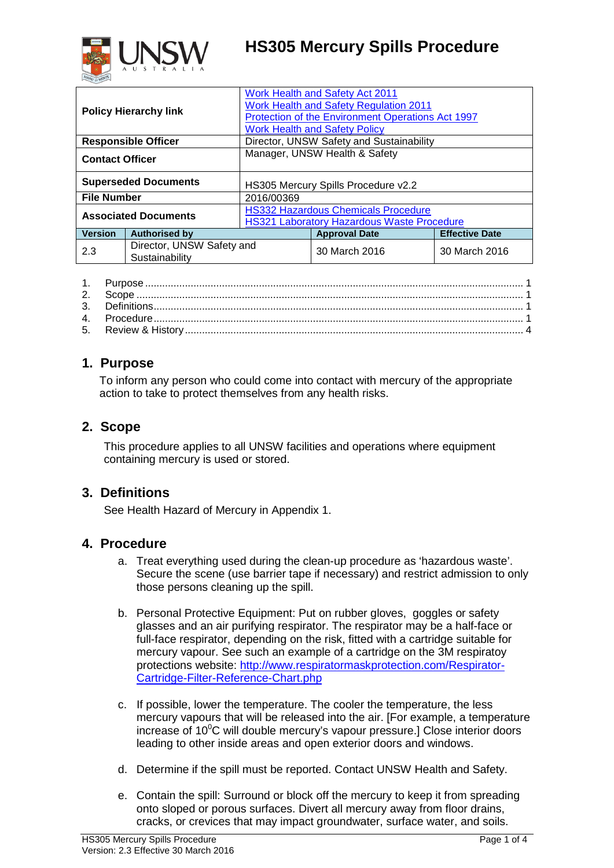# **HS305 Mercury Spills Procedure**



| <b>Policy Hierarchy link</b> |                                             | Work Health and Safety Act 2011<br>Work Health and Safety Regulation 2011<br>Protection of the Environment Operations Act 1997<br><b>Work Health and Safety Policy</b> |                      |                       |  |
|------------------------------|---------------------------------------------|------------------------------------------------------------------------------------------------------------------------------------------------------------------------|----------------------|-----------------------|--|
| <b>Responsible Officer</b>   |                                             | Director, UNSW Safety and Sustainability                                                                                                                               |                      |                       |  |
| <b>Contact Officer</b>       |                                             | Manager, UNSW Health & Safety                                                                                                                                          |                      |                       |  |
| <b>Superseded Documents</b>  |                                             | HS305 Mercury Spills Procedure v2.2                                                                                                                                    |                      |                       |  |
| <b>File Number</b>           |                                             | 2016/00369                                                                                                                                                             |                      |                       |  |
| <b>Associated Documents</b>  |                                             | <b>HS332 Hazardous Chemicals Procedure</b><br><b>HS321 Laboratory Hazardous Waste Procedure</b>                                                                        |                      |                       |  |
| <b>Version</b>               | <b>Authorised by</b>                        |                                                                                                                                                                        | <b>Approval Date</b> | <b>Effective Date</b> |  |
| 2.3                          | Director, UNSW Safety and<br>Sustainability |                                                                                                                                                                        | 30 March 2016        | 30 March 2016         |  |

### <span id="page-0-0"></span>**1. Purpose**

To inform any person who could come into contact with mercury of the appropriate action to take to protect themselves from any health risks.

### <span id="page-0-1"></span>**2. Scope**

This procedure applies to all UNSW facilities and operations where equipment containing mercury is used or stored.

#### <span id="page-0-2"></span>**3. Definitions**

See Health Hazard of Mercury in Appendix 1.

#### <span id="page-0-3"></span>**4. Procedure**

- a. Treat everything used during the clean-up procedure as 'hazardous waste'. Secure the scene (use barrier tape if necessary) and restrict admission to only those persons cleaning up the spill.
- b. Personal Protective Equipment: Put on rubber gloves, goggles or safety glasses and an air purifying respirator. The respirator may be a half-face or full-face respirator, depending on the risk, fitted with a cartridge suitable for mercury vapour. See such an example of a cartridge on the 3M respiratoy protections website: [http://www.respiratormaskprotection.com/Respirator-](http://www.respiratormaskprotection.com/Respirator-Cartridge-Filter-Reference-Chart.php)[Cartridge-Filter-Reference-Chart.php](http://www.respiratormaskprotection.com/Respirator-Cartridge-Filter-Reference-Chart.php)
- c. If possible, lower the temperature. The cooler the temperature, the less mercury vapours that will be released into the air. [For example, a temperature increase of 10 $\mathrm{^0C}$  will double mercury's vapour pressure.] Close interior doors leading to other inside areas and open exterior doors and windows.
- d. Determine if the spill must be reported. Contact UNSW Health and Safety.
- e. Contain the spill: Surround or block off the mercury to keep it from spreading onto sloped or porous surfaces. Divert all mercury away from floor drains, cracks, or crevices that may impact groundwater, surface water, and soils.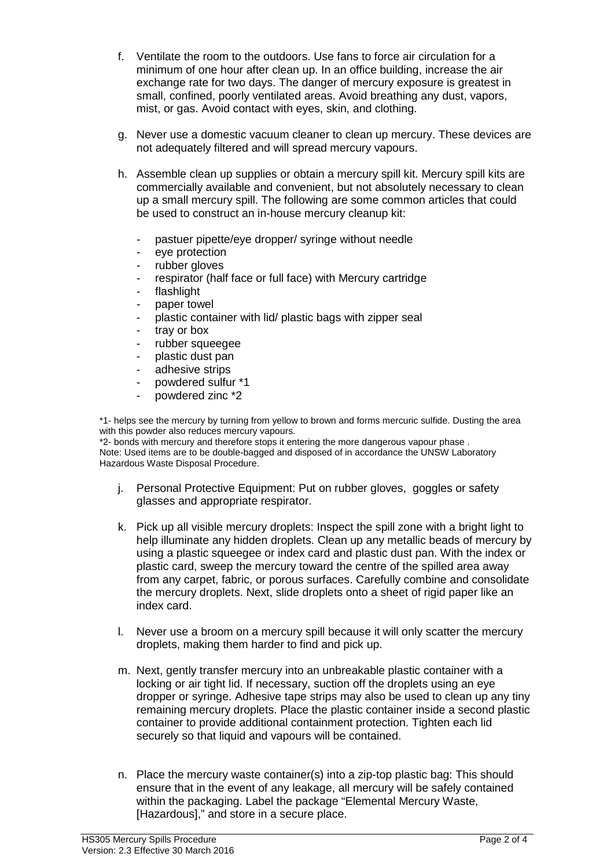- f. Ventilate the room to the outdoors. Use fans to force air circulation for a minimum of one hour after clean up. In an office building, increase the air exchange rate for two days. The danger of mercury exposure is greatest in small, confined, poorly ventilated areas. Avoid breathing any dust, vapors, mist, or gas. Avoid contact with eyes, skin, and clothing.
- g. Never use a domestic vacuum cleaner to clean up mercury. These devices are not adequately filtered and will spread mercury vapours.
- h. Assemble clean up supplies or obtain a mercury spill kit. Mercury spill kits are commercially available and convenient, but not absolutely necessary to clean up a small mercury spill. The following are some common articles that could be used to construct an in-house mercury cleanup kit:
	- pastuer pipette/eye dropper/ syringe without needle
	- eye protection
	- rubber gloves
	- respirator (half face or full face) with Mercury cartridge
	- flashlight
	- paper towel
	- plastic container with lid/ plastic bags with zipper seal
	- tray or box
	- rubber squeegee
	- plastic dust pan
	- adhesive strips
	- powdered sulfur \*1
	- powdered zinc \*2

\*1- helps see the mercury by turning from yellow to brown and forms mercuric sulfide. Dusting the area with this powder also reduces mercury vapours.

\*2- bonds with mercury and therefore stops it entering the more dangerous vapour phase . Note: Used items are to be double-bagged and disposed of in accordance the UNSW Laboratory Hazardous Waste Disposal Procedure.

- j. Personal Protective Equipment: Put on rubber gloves, goggles or safety glasses and appropriate respirator.
- k. Pick up all visible mercury droplets: Inspect the spill zone with a bright light to help illuminate any hidden droplets. Clean up any metallic beads of mercury by using a plastic squeegee or index card and plastic dust pan. With the index or plastic card, sweep the mercury toward the centre of the spilled area away from any carpet, fabric, or porous surfaces. Carefully combine and consolidate the mercury droplets. Next, slide droplets onto a sheet of rigid paper like an index card.
- l. Never use a broom on a mercury spill because it will only scatter the mercury droplets, making them harder to find and pick up.
- m. Next, gently transfer mercury into an unbreakable plastic container with a locking or air tight lid. If necessary, suction off the droplets using an eye dropper or syringe. Adhesive tape strips may also be used to clean up any tiny remaining mercury droplets. Place the plastic container inside a second plastic container to provide additional containment protection. Tighten each lid securely so that liquid and vapours will be contained.
- n. Place the mercury waste container(s) into a zip-top plastic bag: This should ensure that in the event of any leakage, all mercury will be safely contained within the packaging. Label the package "Elemental Mercury Waste, [Hazardous]," and store in a secure place.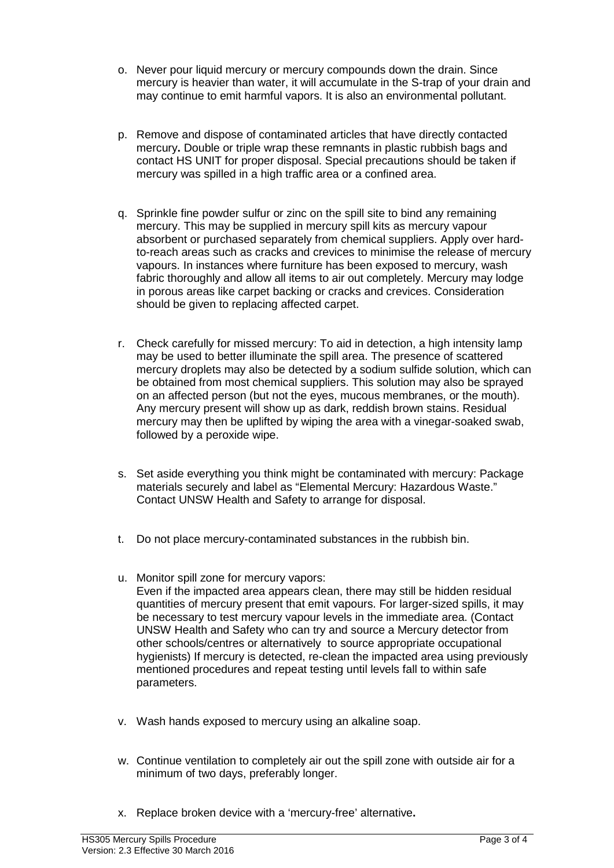- o. Never pour liquid mercury or mercury compounds down the drain. Since mercury is heavier than water, it will accumulate in the S-trap of your drain and may continue to emit harmful vapors. It is also an environmental pollutant.
- p. Remove and dispose of contaminated articles that have directly contacted mercury**.** Double or triple wrap these remnants in plastic rubbish bags and contact HS UNIT for proper disposal. Special precautions should be taken if mercury was spilled in a high traffic area or a confined area.
- q. Sprinkle fine powder sulfur or zinc on the spill site to bind any remaining mercury. This may be supplied in mercury spill kits as mercury vapour absorbent or purchased separately from chemical suppliers. Apply over hardto-reach areas such as cracks and crevices to minimise the release of mercury vapours. In instances where furniture has been exposed to mercury, wash fabric thoroughly and allow all items to air out completely. Mercury may lodge in porous areas like carpet backing or cracks and crevices. Consideration should be given to replacing affected carpet.
- r. Check carefully for missed mercury: To aid in detection, a high intensity lamp may be used to better illuminate the spill area. The presence of scattered mercury droplets may also be detected by a sodium sulfide solution, which can be obtained from most chemical suppliers. This solution may also be sprayed on an affected person (but not the eyes, mucous membranes, or the mouth). Any mercury present will show up as dark, reddish brown stains. Residual mercury may then be uplifted by wiping the area with a vinegar-soaked swab, followed by a peroxide wipe.
- s. Set aside everything you think might be contaminated with mercury: Package materials securely and label as "Elemental Mercury: Hazardous Waste." Contact UNSW Health and Safety to arrange for disposal.
- t. Do not place mercury-contaminated substances in the rubbish bin.
- u. Monitor spill zone for mercury vapors: Even if the impacted area appears clean, there may still be hidden residual quantities of mercury present that emit vapours. For larger-sized spills, it may be necessary to test mercury vapour levels in the immediate area. (Contact UNSW Health and Safety who can try and source a Mercury detector from other schools/centres or alternatively to source appropriate occupational hygienists) If mercury is detected, re-clean the impacted area using previously mentioned procedures and repeat testing until levels fall to within safe parameters.
- v. Wash hands exposed to mercury using an alkaline soap.
- w. Continue ventilation to completely air out the spill zone with outside air for a minimum of two days, preferably longer.
- x. Replace broken device with a 'mercury-free' alternative**.**